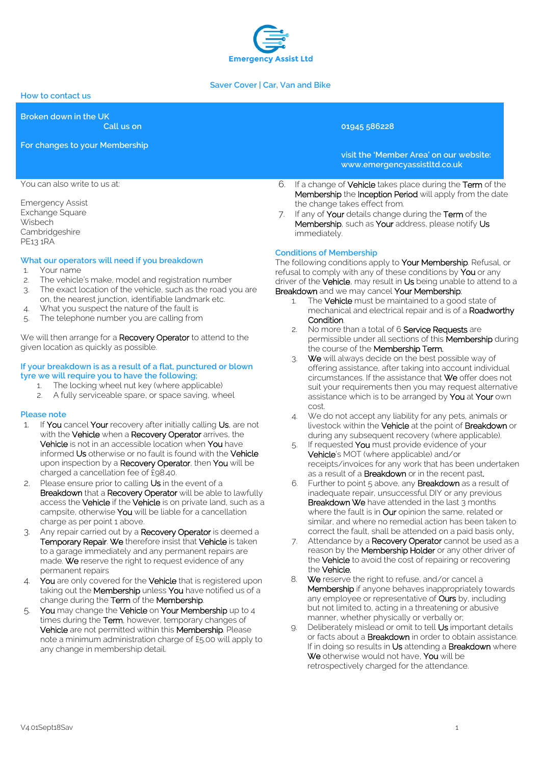

### **Saver Cover | Car, Van and Bike**

### **How to contact us**

**Broken down in the UK**

**Call us on 01945 586228**

**For changes to your Membership**

**visit the 'Member Area' on our website: www.emergencyassistltd.co.uk**

- 6. If a change of Vehicle takes place during the Term of the Membership the Inception Period will apply from the date the change takes effect from.
- 7. If any of Your details change during the Term of the Membership, such as Your address, please notify Us immediately.

## **Conditions of Membership**

The following conditions apply to Your Membership. Refusal, or refusal to comply with any of these conditions by You or any driver of the Vehicle, may result in Us being unable to attend to a Breakdown and we may cancel Your Membership;

- 1. The **Vehicle** must be maintained to a good state of mechanical and electrical repair and is of a Roadworthy Condition.
- 2. No more than a total of 6 Service Requests are permissible under all sections of this Membership during the course of the Membership Term.
- 3. We will always decide on the best possible way of offering assistance, after taking into account individual circumstances. If the assistance that We offer does not suit your requirements then you may request alternative assistance which is to be arranged by You at Your own cost.
- 4. We do not accept any liability for any pets, animals or livestock within the **Vehicle** at the point of **Breakdown** or during any subsequent recovery (where applicable).
- 5. If requested You must provide evidence of your Vehicle's MOT (where applicable) and/or receipts/invoices for any work that has been undertaken as a result of a **Breakdown** or in the recent past.
- 6. Further to point 5 above, any Breakdown as a result of inadequate repair, unsuccessful DIY or any previous Breakdown We have attended in the last 3 months where the fault is in Our opinion the same, related or similar, and where no remedial action has been taken to correct the fault, shall be attended on a paid basis only.
- 7. Attendance by a Recovery Operator cannot be used as a reason by the **Membership Holder** or any other driver of the Vehicle to avoid the cost of repairing or recovering the Vehicle.
- 8. We reserve the right to refuse, and/or cancel a Membership if anyone behaves inappropriately towards any employee or representative of Ours by, including but not limited to, acting in a threatening or abusive manner, whether physically or verbally or;
- 9. Deliberately mislead or omit to tell Us important details or facts about a Breakdown in order to obtain assistance. If in doing so results in Us attending a Breakdown where We otherwise would not have, You will be retrospectively charged for the attendance.

You can also write to us at:

Emergency Assist Exchange Square **Wisbech** Cambridgeshire PE13 1RA

### **What our operators will need if you breakdown**

- 1. Your name
- 2. The vehicle's make, model and registration number
- 3. The exact location of the vehicle, such as the road you are on, the nearest junction, identifiable landmark etc.
- 4. What you suspect the nature of the fault is
- 5. The telephone number you are calling from

We will then arrange for a Recovery Operator to attend to the given location as quickly as possible.

### **If your breakdown is as a result of a flat, punctured or blown tyre we will require you to have the following;**

- 1. The locking wheel nut key (where applicable)
- A fully serviceable spare, or space saving, wheel

#### **Please note**

- 1. If You cancel Your recovery after initially calling Us, are not with the Vehicle when a Recovery Operator arrives, the Vehicle is not in an accessible location when You have informed Us otherwise or no fault is found with the Vehicle upon inspection by a Recovery Operator, then You will be charged a cancellation fee of £98.40.
- 2. Please ensure prior to calling Us in the event of a Breakdown that a Recovery Operator will be able to lawfully access the **Vehicle** if the **Vehicle** is on private land, such as a campsite, otherwise You will be liable for a cancellation charge as per point 1 above.
- 3. Any repair carried out by a Recovery Operator is deemed a Temporary Repair. We therefore insist that Vehicle is taken to a garage immediately and any permanent repairs are made. We reserve the right to request evidence of any permanent repairs
- 4. You are only covered for the Vehicle that is registered upon taking out the **Membership** unless You have notified us of a change during the Term of the Membership.
- 5. You may change the Vehicle on Your Membership up to 4 times during the Term, however, temporary changes of Vehicle are not permitted within this Membership. Please note a minimum administration charge of £5.00 will apply to any change in membership detail.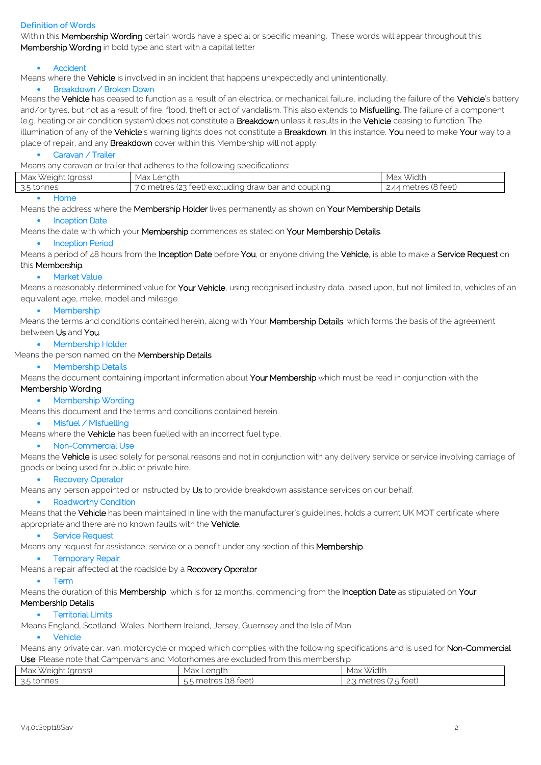### **Definition of Words**

Within this Membership Wording certain words have a special or specific meaning. These words will appear throughout this Membership Wording in bold type and start with a capital letter

### Accident

Means where the **Vehicle** is involved in an incident that happens unexpectedly and unintentionally.

### Breakdown / Broken Down

Means the Vehicle has ceased to function as a result of an electrical or mechanical failure, including the failure of the Vehicle's battery and/or tyres, but not as a result of fire, flood, theft or act of vandalism. This also extends to Misfuelling. The failure of a component (e.g. heating or air condition system) does not constitute a **Breakdown** unless it results in the Vehicle ceasing to function. The illumination of any of the Vehicle's warning lights does not constitute a Breakdown. In this instance, You need to make Your way to a place of repair, and any **Breakdown** cover within this Membership will not apply.

#### Caravan / Trailer

Means any caravan or trailer that adheres to the following specifications:

| Max Weight (gross) | Max Lenath                                           | Width<br>Max                                  |
|--------------------|------------------------------------------------------|-----------------------------------------------|
| 3.5 tonnes         | 7.0 metres (23 feet) excluding draw bar and coupling | * metres (8 feet)<br>$\mathcal{A}\mathcal{A}$ |
|                    |                                                      |                                               |

### Home

Means the address where the Membership Holder lives permanently as shown on Your Membership Details

#### • Inception Date

Means the date with which your Membership commences as stated on Your Membership Details.

#### • Inception Period

Means a period of 48 hours from the Inception Date before You, or anyone driving the Vehicle, is able to make a Service Request on

# this Membership.

## • Market Value

Means a reasonably determined value for Your Vehicle, using recognised industry data, based upon, but not limited to, vehicles of an equivalent age, make, model and mileage.

#### • Membership

Means the terms and conditions contained herein, along with Your Membership Details, which forms the basis of the agreement between Us and You.

### • Membership Holder

## Means the person named on the **Membership Details**

Membership Details

Means the document containing important information about Your Membership which must be read in conjunction with the

## Membership Wording.

### • Membership Wording

Means this document and the terms and conditions contained herein.

### • Misfuel / Misfuelling

Means where the Vehicle has been fuelled with an incorrect fuel type.

#### • Non-Commercial Use

Means the Vehicle is used solely for personal reasons and not in conjunction with any delivery service or service involving carriage of goods or being used for public or private hire..

#### • Recovery Operator

Means any person appointed or instructed by Us to provide breakdown assistance services on our behalf.

#### • Roadworthy Condition

Means that the Vehicle has been maintained in line with the manufacturer's quidelines, holds a current UK MOT certificate where appropriate and there are no known faults with the Vehicle.

#### Service Request

Means any request for assistance, service or a benefit under any section of this Membership.

#### • Temporary Repair

## Means a repair affected at the roadside by a Recovery Operator

#### Term

Means the duration of this Membership, which is for 12 months, commencing from the Inception Date as stipulated on Your Membership Details

## **•** Territorial Limits

Means England, Scotland, Wales, Northern Ireland, Jersey, Guernsey and the Isle of Man.

## • Vehicle

Means any private car, van, motorcycle or moped which complies with the following specifications and is used for Non-Commercial Use. Please note that Campervans and Motorhomes are excluded from this membership

| $\cdots$<br>Max<br>(aross)<br>, Weiaht | Max<br>enath<br>ا ب ب                                                                                                  | Width<br>Max                                          |
|----------------------------------------|------------------------------------------------------------------------------------------------------------------------|-------------------------------------------------------|
| 3.5 tonnes                             | $\overline{\phantom{a}}$<br>†∆∆†`<br>m <sub>o</sub><br>THEU<br>╶<br>n r<br>ושטעו<br>◝∸<br>$\smile\smile$<br>$\cdot$ ). | $\sqrt{2}$<br>†∆∆t<br>metres<br>౿<br>ーレーレ<br><u>.</u> |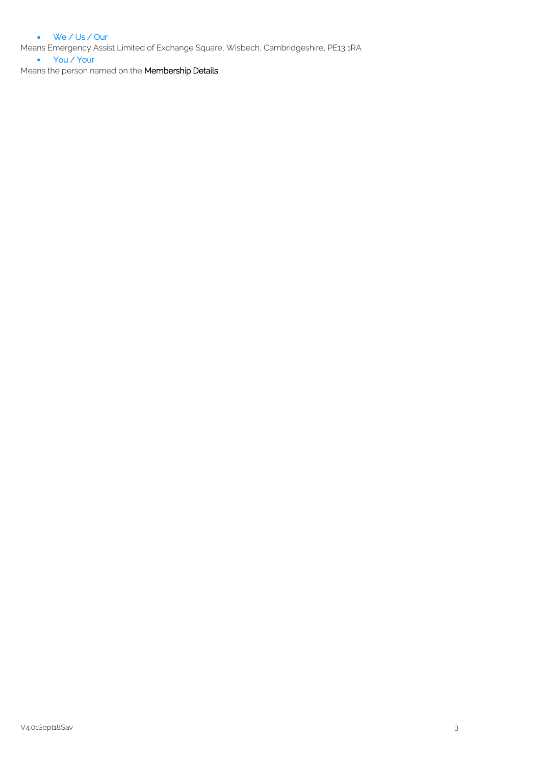## We / Us / Our

Means Emergency Assist Limited of Exchange Square, Wisbech, Cambridgeshire, PE13 1RA

• You / Your

Means the person named on the **Membership Details**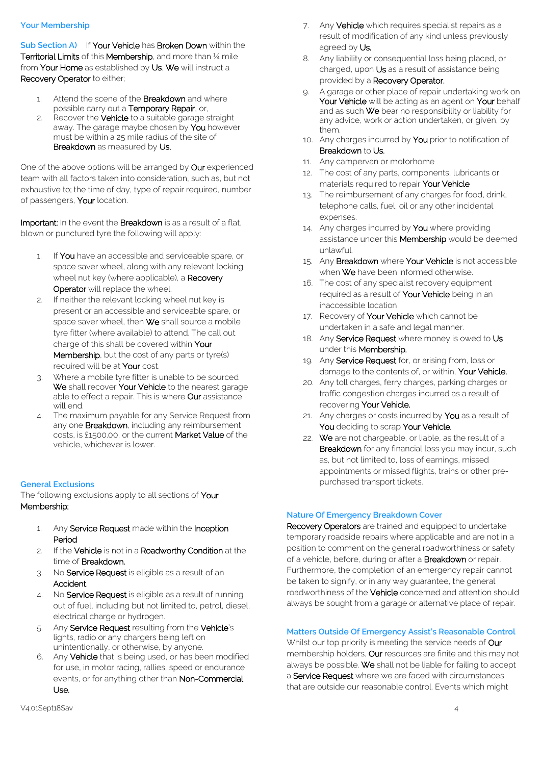### **Your Membership**

**Sub Section A)** If Your Vehicle has Broken Down within the Territorial Limits of this Membership, and more than ¼ mile from Your Home as established by Us, We will instruct a Recovery Operator to either;

- 1. Attend the scene of the **Breakdown** and where possible carry out a Temporary Repair, or,
- 2. Recover the **Vehicle** to a suitable garage straight away. The garage maybe chosen by You however must be within a 25 mile radius of the site of Breakdown as measured by Us.

One of the above options will be arranged by Our experienced team with all factors taken into consideration, such as, but not exhaustive to; the time of day, type of repair required, number of passengers, Your location.

Important: In the event the Breakdown is as a result of a flat, blown or punctured tyre the following will apply:

- 1. If You have an accessible and serviceable spare, or space saver wheel, along with any relevant locking wheel nut key (where applicable), a Recovery Operator will replace the wheel.
- 2. If neither the relevant locking wheel nut key is present or an accessible and serviceable spare, or space saver wheel, then We shall source a mobile tyre fitter (where available) to attend. The call out charge of this shall be covered within Your Membership, but the cost of any parts or tyre(s) required will be at Your cost.
- 3. Where a mobile tyre fitter is unable to be sourced We shall recover Your Vehicle to the nearest garage able to effect a repair. This is where **Our** assistance will end.
- 4. The maximum payable for any Service Request from any one **Breakdown**, including any reimbursement costs, is £1500.00, or the current Market Value of the vehicle, whichever is lower.

## **General Exclusions**

The following exclusions apply to all sections of **Your** Membership;

- 1. Any Service Request made within the Inception Period
- 2. If the Vehicle is not in a Roadworthy Condition at the time of Breakdown.
- 3. No Service Request is eligible as a result of an Accident.
- 4. No Service Request is eligible as a result of running out of fuel, including but not limited to, petrol, diesel, electrical charge or hydrogen.
- 5. Any Service Request resulting from the Vehicle's lights, radio or any chargers being left on unintentionally, or otherwise, by anyone.
- 6. Any Vehicle that is being used, or has been modified for use, in motor racing, rallies, speed or endurance events, or for anything other than Non-Commercial Use.
- 7. Any Vehicle which requires specialist repairs as a result of modification of any kind unless previously agreed by Us.
- 8. Any liability or consequential loss being placed, or charged, upon Us as a result of assistance being provided by a Recovery Operator.
- 9. A garage or other place of repair undertaking work on Your Vehicle will be acting as an agent on Your behalf and as such We bear no responsibility or liability for any advice, work or action undertaken, or given, by them.
- 10. Any charges incurred by You prior to notification of Breakdown to Us.
- 11. Any campervan or motorhome
- 12. The cost of any parts, components, lubricants or materials required to repair Your Vehicle
- 13. The reimbursement of any charges for food, drink, telephone calls, fuel, oil or any other incidental expenses.
- 14. Any charges incurred by You where providing assistance under this **Membership** would be deemed unlawful.
- 15. Any Breakdown where Your Vehicle is not accessible when We have been informed otherwise.
- 16. The cost of any specialist recovery equipment required as a result of Your Vehicle being in an inaccessible location
- 17. Recovery of Your Vehicle which cannot be undertaken in a safe and legal manner.
- 18. Any Service Request where money is owed to Us under this Membership.
- 19. Any Service Request for, or arising from, loss or damage to the contents of, or within, Your Vehicle.
- 20. Any toll charges, ferry charges, parking charges or traffic congestion charges incurred as a result of recovering Your Vehicle.
- 21. Any charges or costs incurred by **You** as a result of You deciding to scrap Your Vehicle.
- 22. We are not chargeable, or liable, as the result of a **Breakdown** for any financial loss you may incur, such as, but not limited to, loss of earnings, missed appointments or missed flights, trains or other prepurchased transport tickets.

## **Nature Of Emergency Breakdown Cover**

Recovery Operators are trained and equipped to undertake temporary roadside repairs where applicable and are not in a position to comment on the general roadworthiness or safety of a vehicle, before, during or after a **Breakdown** or repair. Furthermore, the completion of an emergency repair cannot be taken to signify, or in any way guarantee, the general roadworthiness of the **Vehicle** concerned and attention should always be sought from a garage or alternative place of repair.

## **Matters Outside Of Emergency Assist's Reasonable Control**

Whilst our top priority is meeting the service needs of Our membership holders, Our resources are finite and this may not always be possible. We shall not be liable for failing to accept a Service Request where we are faced with circumstances that are outside our reasonable control. Events which might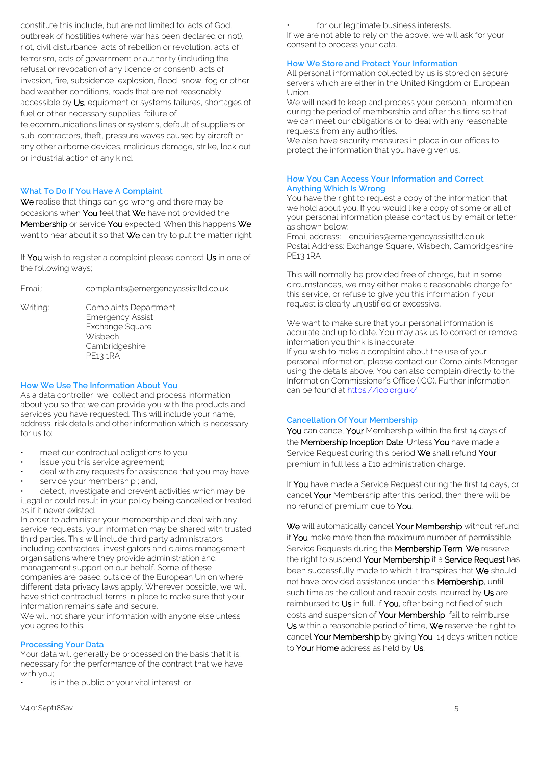constitute this include, but are not limited to; acts of God, outbreak of hostilities (where war has been declared or not), riot, civil disturbance, acts of rebellion or revolution, acts of terrorism, acts of government or authority (including the refusal or revocation of any licence or consent), acts of invasion, fire, subsidence, explosion, flood, snow, fog or other bad weather conditions, roads that are not reasonably accessible by Us, equipment or systems failures, shortages of fuel or other necessary supplies, failure of telecommunications lines or systems, default of suppliers or sub-contractors, theft, pressure waves caused by aircraft or any other airborne devices, malicious damage, strike, lock out or industrial action of any kind.

### **What To Do If You Have A Complaint**

We realise that things can go wrong and there may be occasions when You feel that We have not provided the Membership or service You expected. When this happens We want to hear about it so that We can try to put the matter right.

If You wish to register a complaint please contact Us in one of the following ways;

Email: complaints@emergencyassistltd.co.uk

Writing: Complaints Department Emergency Assist Exchange Square **Wisbech Cambridgeshire** PE13 1RA

### **How We Use The Information About You**

As a data controller, we collect and process information about you so that we can provide you with the products and services you have requested. This will include your name, address, risk details and other information which is necessary for us to:

- meet our contractual obligations to you;
- issue you this service agreement;
- deal with any requests for assistance that you may have
- service your membership ; and,

detect, investigate and prevent activities which may be illegal or could result in your policy being cancelled or treated as if it never existed.

In order to administer your membership and deal with any service requests, your information may be shared with trusted third parties. This will include third party administrators including contractors, investigators and claims management organisations where they provide administration and management support on our behalf. Some of these companies are based outside of the European Union where different data privacy laws apply. Wherever possible, we will have strict contractual terms in place to make sure that your information remains safe and secure.

We will not share your information with anyone else unless you agree to this.

#### **Processing Your Data**

Your data will generally be processed on the basis that it is: necessary for the performance of the contract that we have with you;

is in the public or your vital interest: or

for our legitimate business interests.

If we are not able to rely on the above, we will ask for your consent to process your data.

### **How We Store and Protect Your Information**

All personal information collected by us is stored on secure servers which are either in the United Kingdom or European Union.

We will need to keep and process your personal information during the period of membership and after this time so that we can meet our obligations or to deal with any reasonable requests from any authorities.

We also have security measures in place in our offices to protect the information that you have given us.

### **How You Can Access Your Information and Correct Anything Which Is Wrong**

You have the right to request a copy of the information that we hold about you. If you would like a copy of some or all of your personal information please contact us by email or letter as shown below:

Email address: enquiries@emergencyassistltd.co.uk Postal Address: Exchange Square, Wisbech, Cambridgeshire, PE13 1RA

This will normally be provided free of charge, but in some circumstances, we may either make a reasonable charge for this service, or refuse to give you this information if your request is clearly unjustified or excessive.

We want to make sure that your personal information is accurate and up to date. You may ask us to correct or remove information you think is inaccurate.

If you wish to make a complaint about the use of your personal information, please contact our Complaints Manager using the details above. You can also complain directly to the Information Commissioner's Office (ICO). Further information can be found a[t https://ico.org.uk/](https://ico.org.uk/)

## **Cancellation Of Your Membership**

You can cancel Your Membership within the first 14 days of the Membership Inception Date. Unless You have made a Service Request during this period We shall refund Your premium in full less a £10 administration charge.

If You have made a Service Request during the first 14 days, or cancel Your Membership after this period, then there will be no refund of premium due to You.

We will automatically cancel Your Membership without refund if You make more than the maximum number of permissible Service Requests during the Membership Term. We reserve the right to suspend Your Membership if a Service Request has been successfully made to which it transpires that We should not have provided assistance under this Membership, until such time as the callout and repair costs incurred by Us are reimbursed to Us in full. If You, after being notified of such costs and suspension of Your Membership, fail to reimburse Us within a reasonable period of time, We reserve the right to cancel Your Membership by giving You 14 days written notice to Your Home address as held by Us.